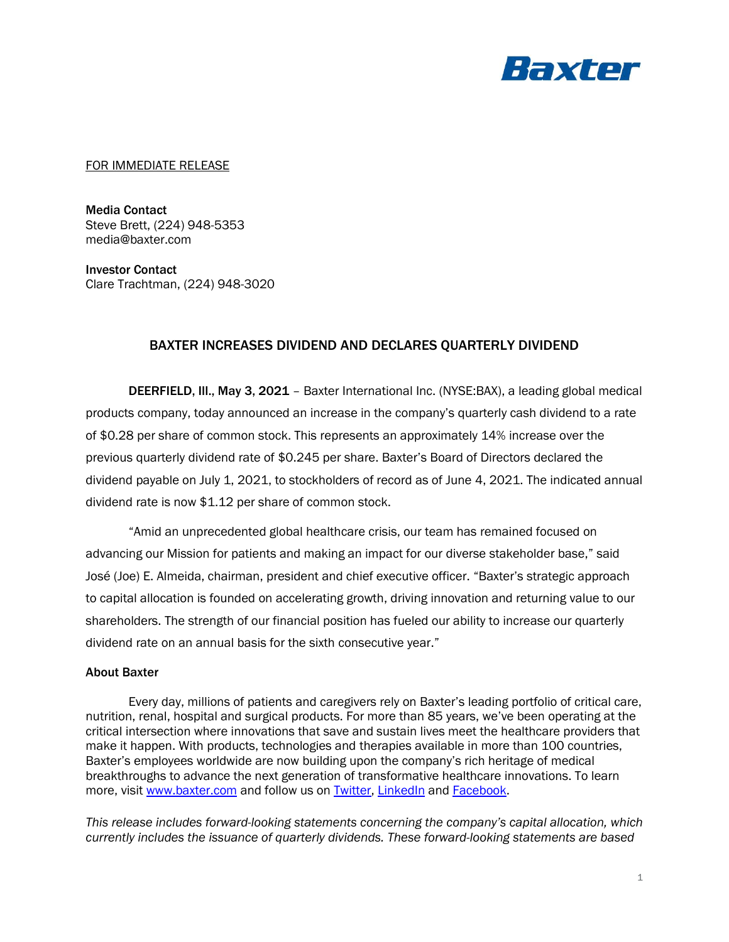

## FOR IMMEDIATE RELEASE

Media Contact Steve Brett, (224) 948-5353 media@baxter.com

Investor Contact Clare Trachtman, (224) 948-3020

## BAXTER INCREASES DIVIDEND AND DECLARES QUARTERLY DIVIDEND

DEERFIELD, III., May 3, 2021 - Baxter International Inc. (NYSE:BAX), a leading global medical products company, today announced an increase in the company's quarterly cash dividend to a rate of \$0.28 per share of common stock. This represents an approximately 14% increase over the previous quarterly dividend rate of \$0.245 per share. Baxter's Board of Directors declared the dividend payable on July 1, 2021, to stockholders of record as of June 4, 2021. The indicated annual dividend rate is now \$1.12 per share of common stock.

"Amid an unprecedented global healthcare crisis, our team has remained focused on advancing our Mission for patients and making an impact for our diverse stakeholder base," said José (Joe) E. Almeida, chairman, president and chief executive officer. "Baxter's strategic approach to capital allocation is founded on accelerating growth, driving innovation and returning value to our shareholders. The strength of our financial position has fueled our ability to increase our quarterly dividend rate on an annual basis for the sixth consecutive year."

## About Baxter

Every day, millions of patients and caregivers rely on Baxter's leading portfolio of critical care, nutrition, renal, hospital and surgical products. For more than 85 years, we've been operating at the critical intersection where innovations that save and sustain lives meet the healthcare providers that make it happen. With products, technologies and therapies available in more than 100 countries, Baxter's employees worldwide are now building upon the company's rich heritage of medical breakthroughs to advance the next generation of transformative healthcare innovations. To learn more, visit [www.baxter.com](http://www.baxter.com/) and follow us on [Twitter,](https://twitter.com/baxter_intl) [LinkedIn](https://www.linkedin.com/company/baxter-healthcare/) and [Facebook.](https://www.facebook.com/BaxterInternationalInc/)

*This release includes forward-looking statements concerning the company's capital allocation, which currently includes the issuance of quarterly dividends. These forward-looking statements are based*